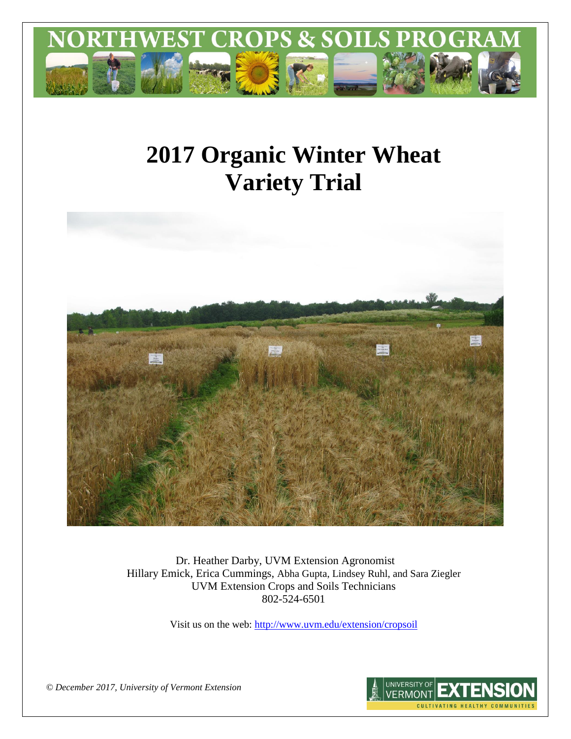

# **2017 Organic Winter Wheat Variety Trial**



Dr. Heather Darby, UVM Extension Agronomist Hillary Emick, Erica Cummings, Abha Gupta, Lindsey Ruhl, and Sara Ziegler UVM Extension Crops and Soils Technicians 802-524-6501

Visit us on the web:<http://www.uvm.edu/extension/cropsoil>

*© December 2017, University of Vermont Extension* 

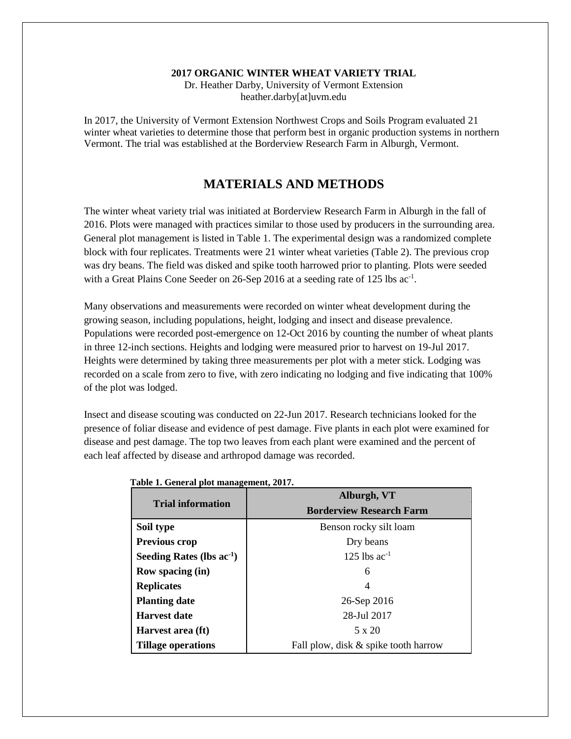### **2017 ORGANIC WINTER WHEAT VARIETY TRIAL**

Dr. Heather Darby, University of Vermont Extension heather.darby[at]uvm.edu

In 2017, the University of Vermont Extension Northwest Crops and Soils Program evaluated 21 winter wheat varieties to determine those that perform best in organic production systems in northern Vermont. The trial was established at the Borderview Research Farm in Alburgh, Vermont.

## **MATERIALS AND METHODS**

The winter wheat variety trial was initiated at Borderview Research Farm in Alburgh in the fall of 2016. Plots were managed with practices similar to those used by producers in the surrounding area. General plot management is listed in Table 1. The experimental design was a randomized complete block with four replicates. Treatments were 21 winter wheat varieties (Table 2). The previous crop was dry beans. The field was disked and spike tooth harrowed prior to planting. Plots were seeded with a Great Plains Cone Seeder on 26-Sep 2016 at a seeding rate of 125 lbs ac<sup>-1</sup>.

Many observations and measurements were recorded on winter wheat development during the growing season, including populations, height, lodging and insect and disease prevalence. Populations were recorded post-emergence on 12-Oct 2016 by counting the number of wheat plants in three 12-inch sections. Heights and lodging were measured prior to harvest on 19-Jul 2017. Heights were determined by taking three measurements per plot with a meter stick. Lodging was recorded on a scale from zero to five, with zero indicating no lodging and five indicating that 100% of the plot was lodged.

Insect and disease scouting was conducted on 22-Jun 2017. Research technicians looked for the presence of foliar disease and evidence of pest damage. Five plants in each plot were examined for disease and pest damage. The top two leaves from each plant were examined and the percent of each leaf affected by disease and arthropod damage was recorded.

|                                | Alburgh, VT                          |  |  |  |  |
|--------------------------------|--------------------------------------|--|--|--|--|
| <b>Trial information</b>       | <b>Borderview Research Farm</b>      |  |  |  |  |
| Soil type                      | Benson rocky silt loam               |  |  |  |  |
| <b>Previous crop</b>           | Dry beans                            |  |  |  |  |
| Seeding Rates (lbs $ac^{-1}$ ) | 125 lbs $ac^{-1}$                    |  |  |  |  |
| <b>Row spacing (in)</b>        | 6                                    |  |  |  |  |
| <b>Replicates</b>              | 4                                    |  |  |  |  |
| <b>Planting date</b>           | 26-Sep 2016                          |  |  |  |  |
| <b>Harvest date</b>            | 28-Jul 2017                          |  |  |  |  |
| Harvest area (ft)              | 5 x 20                               |  |  |  |  |
| <b>Tillage operations</b>      | Fall plow, disk & spike tooth harrow |  |  |  |  |

**Table 1. General plot management, 2017.**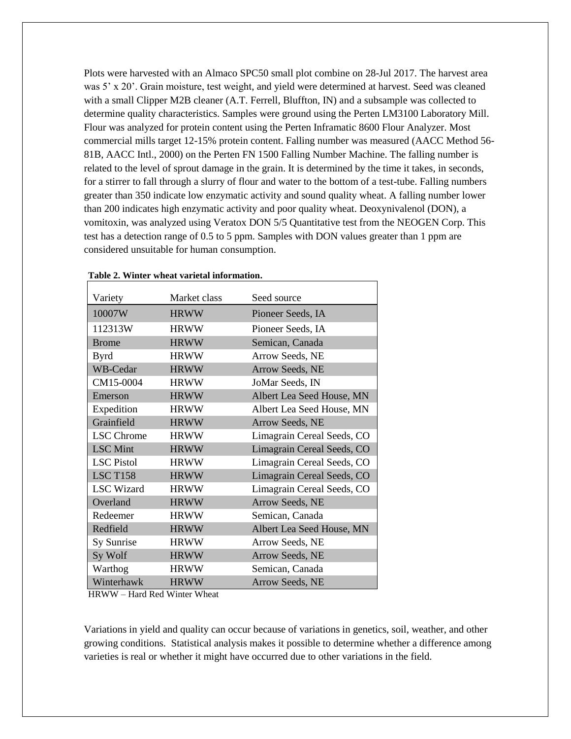Plots were harvested with an Almaco SPC50 small plot combine on 28-Jul 2017. The harvest area was 5' x 20'. Grain moisture, test weight, and yield were determined at harvest. Seed was cleaned with a small Clipper M2B cleaner (A.T. Ferrell, Bluffton, IN) and a subsample was collected to determine quality characteristics. Samples were ground using the Perten LM3100 Laboratory Mill. Flour was analyzed for protein content using the Perten Inframatic 8600 Flour Analyzer. Most commercial mills target 12-15% protein content. Falling number was measured (AACC Method 56- 81B, AACC Intl., 2000) on the Perten FN 1500 Falling Number Machine. The falling number is related to the level of sprout damage in the grain. It is determined by the time it takes, in seconds, for a stirrer to fall through a slurry of flour and water to the bottom of a test-tube. Falling numbers greater than 350 indicate low enzymatic activity and sound quality wheat. A falling number lower than 200 indicates high enzymatic activity and poor quality wheat. Deoxynivalenol (DON), a vomitoxin, was analyzed using Veratox DON 5/5 Quantitative test from the NEOGEN Corp. This test has a detection range of 0.5 to 5 ppm. Samples with DON values greater than 1 ppm are considered unsuitable for human consumption.

| Variety           | Market class | Seed source                |
|-------------------|--------------|----------------------------|
| 10007W            | <b>HRWW</b>  | Pioneer Seeds, IA          |
| 112313W           | <b>HRWW</b>  | Pioneer Seeds, IA          |
| <b>Brome</b>      | <b>HRWW</b>  | Semican, Canada            |
| <b>Byrd</b>       | <b>HRWW</b>  | Arrow Seeds, NE            |
| WB-Cedar          | <b>HRWW</b>  | Arrow Seeds, NE            |
| CM15-0004         | <b>HRWW</b>  | JoMar Seeds, IN            |
| Emerson           | <b>HRWW</b>  | Albert Lea Seed House, MN  |
| Expedition        | <b>HRWW</b>  | Albert Lea Seed House, MN  |
| Grainfield        | <b>HRWW</b>  | Arrow Seeds, NE            |
| <b>LSC</b> Chrome | <b>HRWW</b>  | Limagrain Cereal Seeds, CO |
| <b>LSC</b> Mint   | <b>HRWW</b>  | Limagrain Cereal Seeds, CO |
| <b>LSC</b> Pistol | <b>HRWW</b>  | Limagrain Cereal Seeds, CO |
| <b>LSC T158</b>   | <b>HRWW</b>  | Limagrain Cereal Seeds, CO |
| <b>LSC</b> Wizard | <b>HRWW</b>  | Limagrain Cereal Seeds, CO |
| Overland          | <b>HRWW</b>  | Arrow Seeds, NE            |
| Redeemer          | <b>HRWW</b>  | Semican, Canada            |
| Redfield          | <b>HRWW</b>  | Albert Lea Seed House, MN  |
| Sy Sunrise        | <b>HRWW</b>  | Arrow Seeds, NE            |
| Sy Wolf           | <b>HRWW</b>  | Arrow Seeds, NE            |
| Warthog           | <b>HRWW</b>  | Semican, Canada            |
| Winterhawk        | <b>HRWW</b>  | Arrow Seeds, NE            |

#### **Table 2. Winter wheat varietal information.**

HRWW – Hard Red Winter Wheat

Variations in yield and quality can occur because of variations in genetics, soil, weather, and other growing conditions. Statistical analysis makes it possible to determine whether a difference among varieties is real or whether it might have occurred due to other variations in the field.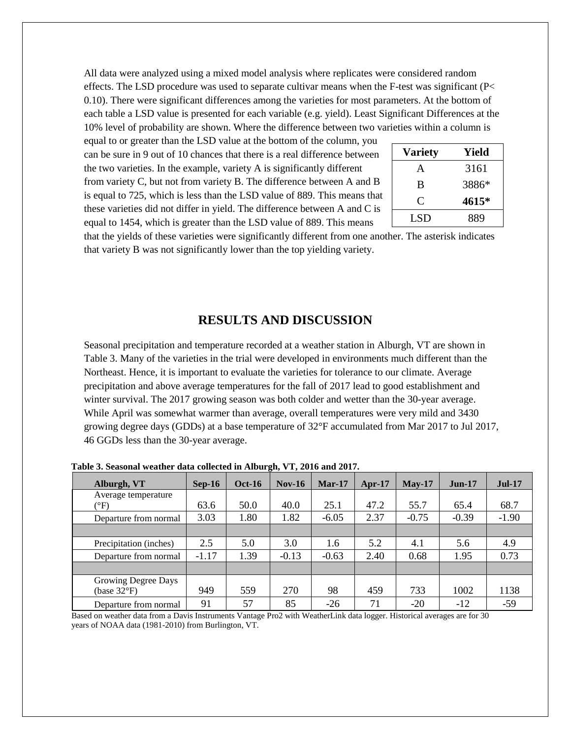All data were analyzed using a mixed model analysis where replicates were considered random effects. The LSD procedure was used to separate cultivar means when the F-test was significant (P< 0.10). There were significant differences among the varieties for most parameters. At the bottom of each table a LSD value is presented for each variable (e.g. yield). Least Significant Differences at the 10% level of probability are shown. Where the difference between two varieties within a column is

equal to or greater than the LSD value at the bottom of the column, you can be sure in 9 out of 10 chances that there is a real difference between the two varieties. In the example, variety A is significantly different from variety C, but not from variety B. The difference between A and B is equal to 725, which is less than the LSD value of 889. This means that these varieties did not differ in yield. The difference between A and C is equal to 1454, which is greater than the LSD value of 889. This means

| <b>Variety</b> | Yield |
|----------------|-------|
| A              | 3161  |
| B              | 3886* |
| €              | 4615* |
| <b>LSD</b>     | 889   |

that the yields of these varieties were significantly different from one another. The asterisk indicates that variety B was not significantly lower than the top yielding variety.

## **RESULTS AND DISCUSSION**

Seasonal precipitation and temperature recorded at a weather station in Alburgh, VT are shown in Table 3. Many of the varieties in the trial were developed in environments much different than the Northeast. Hence, it is important to evaluate the varieties for tolerance to our climate. Average precipitation and above average temperatures for the fall of 2017 lead to good establishment and winter survival. The 2017 growing season was both colder and wetter than the 30-year average. While April was somewhat warmer than average, overall temperatures were very mild and 3430 growing degree days (GDDs) at a base temperature of 32°F accumulated from Mar 2017 to Jul 2017, 46 GGDs less than the 30-year average.

| Alburgh, VT            | $Sep-16$ | <b>Oct-16</b> | $Nov-16$ | $Mar-17$ | $Apr-17$ | $Mav-17$ | $Jun-17$ | <b>Jul-17</b> |
|------------------------|----------|---------------|----------|----------|----------|----------|----------|---------------|
| Average temperature    |          |               |          |          |          |          |          |               |
| $(^{\circ}F)$          | 63.6     | 50.0          | 40.0     | 25.1     | 47.2     | 55.7     | 65.4     | 68.7          |
| Departure from normal  | 3.03     | 1.80          | 1.82     | $-6.05$  | 2.37     | $-0.75$  | $-0.39$  | $-1.90$       |
|                        |          |               |          |          |          |          |          |               |
| Precipitation (inches) | 2.5      | 5.0           | 3.0      | 1.6      | 5.2      | 4.1      | 5.6      | 4.9           |
| Departure from normal  | $-1.17$  | 1.39          | $-0.13$  | $-0.63$  | 2.40     | 0.68     | 1.95     | 0.73          |
|                        |          |               |          |          |          |          |          |               |
| Growing Degree Days    |          |               |          |          |          |          |          |               |
| (base $32^{\circ}F$ )  | 949      | 559           | 270      | 98       | 459      | 733      | 1002     | 1138          |
| Departure from normal  | 91       | 57            | 85       | $-26$    | 71       | $-20$    | $-12$    | $-59$         |

**Table 3. Seasonal weather data collected in Alburgh, VT, 2016 and 2017.**

Based on weather data from a Davis Instruments Vantage Pro2 with WeatherLink data logger. Historical averages are for 30 years of NOAA data (1981-2010) from Burlington, VT.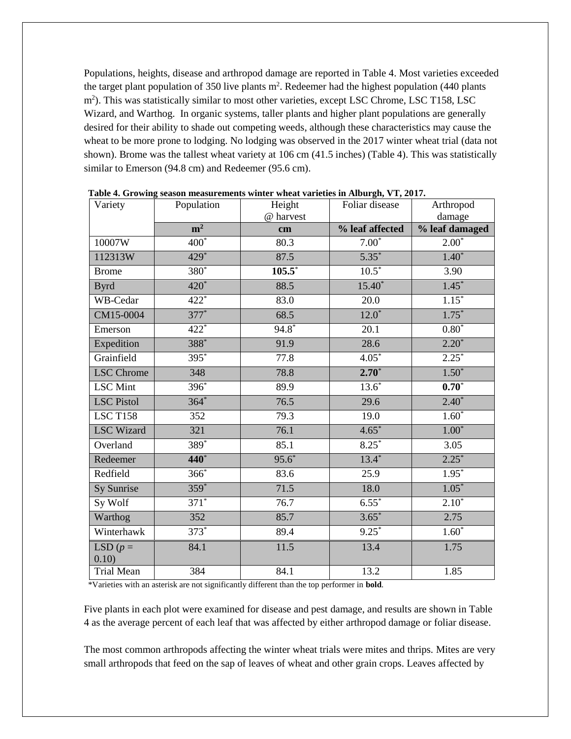Populations, heights, disease and arthropod damage are reported in Table 4. Most varieties exceeded the target plant population of 350 live plants  $m^2$ . Redeemer had the highest population (440 plants m<sup>2</sup>). This was statistically similar to most other varieties, except LSC Chrome, LSC T158, LSC Wizard, and Warthog. In organic systems, taller plants and higher plant populations are generally desired for their ability to shade out competing weeds, although these characteristics may cause the wheat to be more prone to lodging. No lodging was observed in the 2017 winter wheat trial (data not shown). Brome was the tallest wheat variety at 106 cm (41.5 inches) (Table 4). This was statistically similar to Emerson (94.8 cm) and Redeemer (95.6 cm).

| Variety             | Population         | Height<br>@ harvest | Foliar disease  | Arthropod<br>damage |
|---------------------|--------------------|---------------------|-----------------|---------------------|
|                     | m <sup>2</sup>     | cm                  | % leaf affected | % leaf damaged      |
| 10007W              | $\overline{400}^*$ | 80.3                | $7.00*$         | $2.00*$             |
| 112313W             | $429*$             | 87.5                | $5.35*$         | $1.40*$             |
| <b>Brome</b>        | $380*$             | $105.5^*$           | $10.5*$         | 3.90                |
| <b>Byrd</b>         | 420*               | 88.5                | $15.40*$        | $1.45*$             |
| WB-Cedar            | $422*$             | 83.0                | 20.0            | $1.15*$             |
| CM15-0004           | $377*$             | 68.5                | $12.0*$         | $1.75*$             |
| Emerson             | $422*$             | $94.8*$             | 20.1            | $0.80*$             |
| Expedition          | 388*               | 91.9                | 28.6            | $2.20*$             |
| Grainfield          | $395*$             | 77.8                | $4.05*$         | $2.25*$             |
| <b>LSC</b> Chrome   | 348                | 78.8                | $2.70*$         | $1.50*$             |
| <b>LSC</b> Mint     | $396*$             | 89.9                | $13.6*$         | $0.70*$             |
| <b>LSC</b> Pistol   | $364*$             | 76.5                | 29.6            | $2.40*$             |
| <b>LSC T158</b>     | 352                | 79.3                | 19.0            | $1.60*$             |
| <b>LSC</b> Wizard   | 321                | 76.1                | $4.65*$         | $1.00*$             |
| Overland            | $389*$             | 85.1                | $8.25*$         | 3.05                |
| Redeemer            | $440*$             | $95.6*$             | $13.4*$         | $2.25*$             |
| Redfield            | $366*$             | 83.6                | 25.9            | $1.95*$             |
| Sy Sunrise          | $359*$             | 71.5                | 18.0            | $1.05*$             |
| Sy Wolf             | $371*$             | 76.7                | $6.55*$         | $2.10*$             |
| Warthog             | $\overline{352}$   | 85.7                | $3.65*$         | 2.75                |
| Winterhawk          | $373*$             | 89.4                | $9.25*$         | $1.60*$             |
| LSD $(p =$<br>0.10) | 84.1               | 11.5                | 13.4            | 1.75                |
| <b>Trial Mean</b>   | 384                | 84.1                | 13.2            | 1.85                |

**Table 4. Growing season measurements winter wheat varieties in Alburgh, VT, 2017.** 

\*Varieties with an asterisk are not significantly different than the top performer in **bold**.

Five plants in each plot were examined for disease and pest damage, and results are shown in Table 4 as the average percent of each leaf that was affected by either arthropod damage or foliar disease.

The most common arthropods affecting the winter wheat trials were mites and thrips. Mites are very small arthropods that feed on the sap of leaves of wheat and other grain crops. Leaves affected by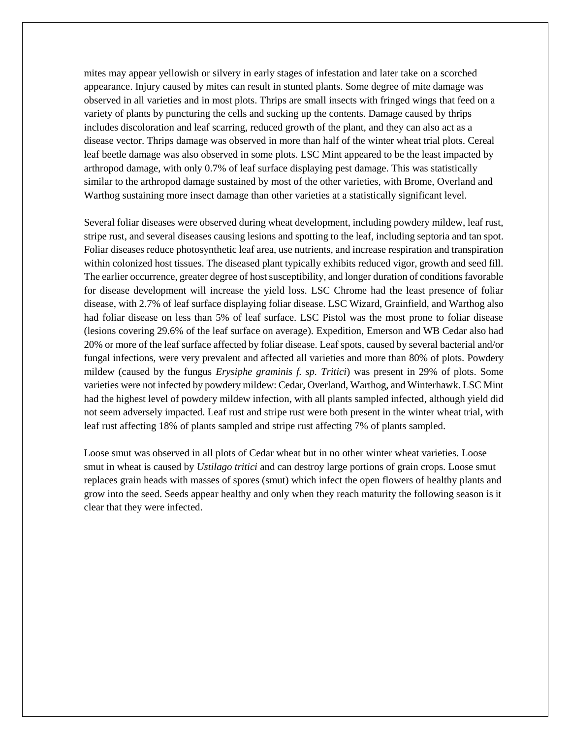mites may appear yellowish or silvery in early stages of infestation and later take on a scorched appearance. Injury caused by mites can result in stunted plants. Some degree of mite damage was observed in all varieties and in most plots. Thrips are small insects with fringed wings that feed on a variety of plants by puncturing the cells and sucking up the contents. Damage caused by thrips includes discoloration and leaf scarring, reduced growth of the plant, and they can also act as a disease vector. Thrips damage was observed in more than half of the winter wheat trial plots. Cereal leaf beetle damage was also observed in some plots. LSC Mint appeared to be the least impacted by arthropod damage, with only 0.7% of leaf surface displaying pest damage. This was statistically similar to the arthropod damage sustained by most of the other varieties, with Brome, Overland and Warthog sustaining more insect damage than other varieties at a statistically significant level.

Several foliar diseases were observed during wheat development, including powdery mildew, leaf rust, stripe rust, and several diseases causing lesions and spotting to the leaf, including septoria and tan spot. Foliar diseases reduce photosynthetic leaf area, use nutrients, and increase respiration and transpiration within colonized host tissues. The diseased plant typically exhibits reduced vigor, growth and seed fill. The earlier occurrence, greater degree of host susceptibility, and longer duration of conditions favorable for disease development will increase the yield loss. LSC Chrome had the least presence of foliar disease, with 2.7% of leaf surface displaying foliar disease. LSC Wizard, Grainfield, and Warthog also had foliar disease on less than 5% of leaf surface. LSC Pistol was the most prone to foliar disease (lesions covering 29.6% of the leaf surface on average). Expedition, Emerson and WB Cedar also had 20% or more of the leaf surface affected by foliar disease. Leaf spots, caused by several bacterial and/or fungal infections, were very prevalent and affected all varieties and more than 80% of plots. Powdery mildew (caused by the fungus *Erysiphe graminis f. sp. Tritici*) was present in 29% of plots. Some varieties were not infected by powdery mildew: Cedar, Overland, Warthog, and Winterhawk. LSC Mint had the highest level of powdery mildew infection, with all plants sampled infected, although yield did not seem adversely impacted. Leaf rust and stripe rust were both present in the winter wheat trial, with leaf rust affecting 18% of plants sampled and stripe rust affecting 7% of plants sampled.

Loose smut was observed in all plots of Cedar wheat but in no other winter wheat varieties. Loose smut in wheat is caused by *Ustilago tritici* and can destroy large portions of grain crops. Loose smut replaces [grain heads](https://en.wikipedia.org/wiki/Head_(botany)) with masses of [spores](https://en.wikipedia.org/wiki/Spore) (smut) which infect the open flowers of healthy plants and grow into the seed. Seeds appear healthy and only when they reach maturity the following season is it clear that they were infected.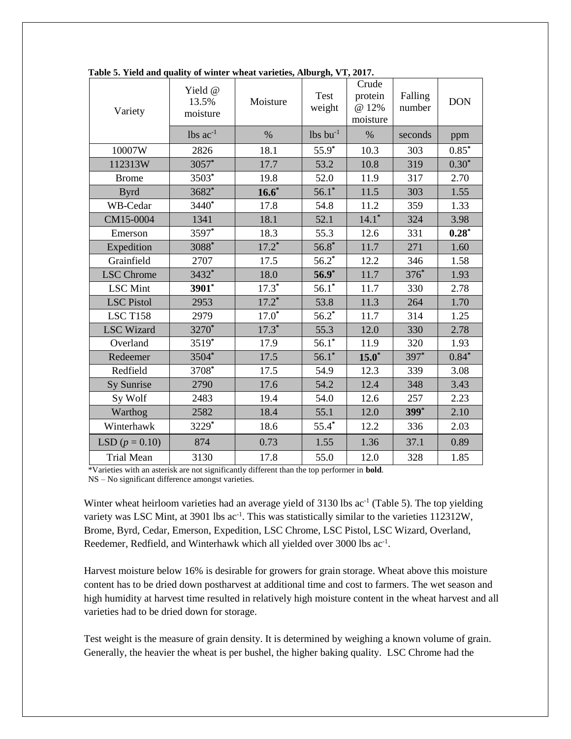| Variety           | Yield @<br>13.5%<br>moisture | Moisture | <b>Test</b><br>weight  | Crude<br>protein<br>@ 12%<br>moisture | Falling<br>number | <b>DON</b> |
|-------------------|------------------------------|----------|------------------------|---------------------------------------|-------------------|------------|
|                   | $lbs$ $ac^{-1}$              | $\%$     | $lbs$ bu <sup>-1</sup> | $\%$                                  | seconds           | ppm        |
| 10007W            | 2826                         | 18.1     | $55.9*$                | 10.3                                  | 303               | $0.85*$    |
| 112313W           | 3057*                        | 17.7     | 53.2                   | 10.8                                  | 319               | $0.30*$    |
| <b>Brome</b>      | 3503*                        | 19.8     | 52.0                   | 11.9                                  | 317               | 2.70       |
| <b>Byrd</b>       | 3682*                        | $16.6*$  | $56.1*$                | 11.5                                  | 303               | 1.55       |
| WB-Cedar          | 3440*                        | 17.8     | 54.8                   | 11.2                                  | 359               | 1.33       |
| CM15-0004         | 1341                         | 18.1     | 52.1                   | $14.1*$                               | 324               | 3.98       |
| Emerson           | 3597*                        | 18.3     | 55.3                   | 12.6                                  | 331               | $0.28*$    |
| Expedition        | 3088*                        | $17.2^*$ | $56.8*$                | 11.7                                  | 271               | 1.60       |
| Grainfield        | 2707                         | 17.5     | $56.2*$                | 12.2                                  | 346               | 1.58       |
| <b>LSC</b> Chrome | 3432*                        | 18.0     | $56.9*$                | 11.7                                  | 376*              | 1.93       |
| <b>LSC</b> Mint   | 3901*                        | $17.3*$  | $56.1*$                | 11.7                                  | 330               | 2.78       |
| <b>LSC</b> Pistol | 2953                         | $17.2*$  | 53.8                   | 11.3                                  | 264               | 1.70       |
| <b>LSC T158</b>   | 2979                         | $17.0*$  | $56.2^*$               | 11.7                                  | 314               | 1.25       |
| <b>LSC Wizard</b> | 3270*                        | $17.3*$  | 55.3                   | 12.0                                  | 330               | 2.78       |
| Overland          | 3519*                        | 17.9     | $56.1*$                | 11.9                                  | 320               | 1.93       |
| Redeemer          | 3504*                        | 17.5     | $56.1*$                | $15.0*$                               | 397*              | $0.84*$    |
| Redfield          | 3708*                        | 17.5     | 54.9                   | 12.3                                  | 339               | 3.08       |
| Sy Sunrise        | 2790                         | 17.6     | 54.2                   | 12.4                                  | 348               | 3.43       |
| Sy Wolf           | 2483                         | 19.4     | 54.0                   | 12.6                                  | 257               | 2.23       |
| Warthog           | 2582                         | 18.4     | 55.1                   | 12.0                                  | 399 <sup>*</sup>  | 2.10       |
| Winterhawk        | 3229*                        | 18.6     | $55.4*$                | 12.2                                  | 336               | 2.03       |
| LSD $(p = 0.10)$  | 874                          | 0.73     | 1.55                   | 1.36                                  | 37.1              | 0.89       |
| <b>Trial Mean</b> | 3130                         | 17.8     | 55.0                   | 12.0                                  | 328               | 1.85       |

**Table 5. Yield and quality of winter wheat varieties, Alburgh, VT, 2017.**

\*Varieties with an asterisk are not significantly different than the top performer in **bold**. NS – No significant difference amongst varieties.

Winter wheat heirloom varieties had an average yield of 3130 lbs ac<sup>-1</sup> (Table 5). The top yielding variety was LSC Mint, at 3901 lbs ac<sup>-1</sup>. This was statistically similar to the varieties 112312W, Brome, Byrd, Cedar, Emerson, Expedition, LSC Chrome, LSC Pistol, LSC Wizard, Overland, Reedemer, Redfield, and Winterhawk which all yielded over 3000 lbs ac<sup>-1</sup>.

Harvest moisture below 16% is desirable for growers for grain storage. Wheat above this moisture content has to be dried down postharvest at additional time and cost to farmers. The wet season and high humidity at harvest time resulted in relatively high moisture content in the wheat harvest and all varieties had to be dried down for storage.

Test weight is the measure of grain density. It is determined by weighing a known volume of grain. Generally, the heavier the wheat is per bushel, the higher baking quality. LSC Chrome had the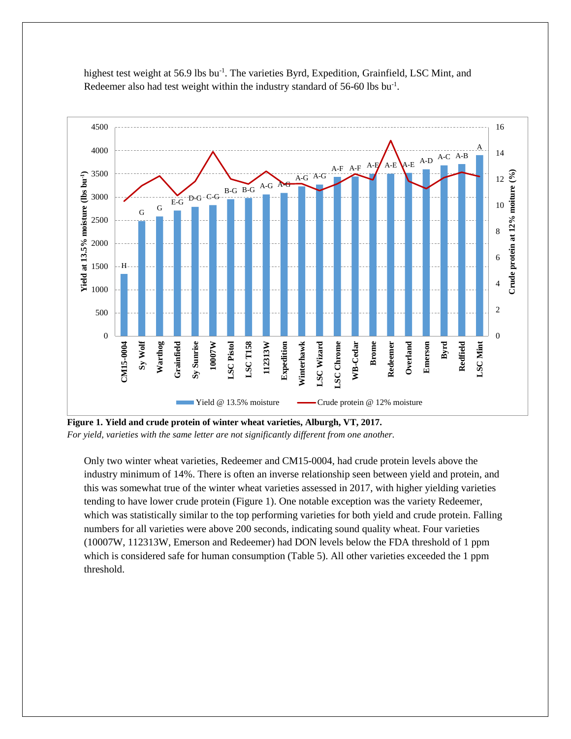

highest test weight at 56.9 lbs bu<sup>-1</sup>. The varieties Byrd, Expedition, Grainfield, LSC Mint, and Redeemer also had test weight within the industry standard of 56-60 lbs bu<sup>-1</sup>.

**Figure 1. Yield and crude protein of winter wheat varieties, Alburgh, VT, 2017.**  *For yield, varieties with the same letter are not significantly different from one another.*

Only two winter wheat varieties, Redeemer and CM15-0004, had crude protein levels above the industry minimum of 14%. There is often an inverse relationship seen between yield and protein, and this was somewhat true of the winter wheat varieties assessed in 2017, with higher yielding varieties tending to have lower crude protein (Figure 1). One notable exception was the variety Redeemer, which was statistically similar to the top performing varieties for both yield and crude protein. Falling numbers for all varieties were above 200 seconds, indicating sound quality wheat. Four varieties (10007W, 112313W, Emerson and Redeemer) had DON levels below the FDA threshold of 1 ppm which is considered safe for human consumption (Table 5). All other varieties exceeded the 1 ppm threshold.